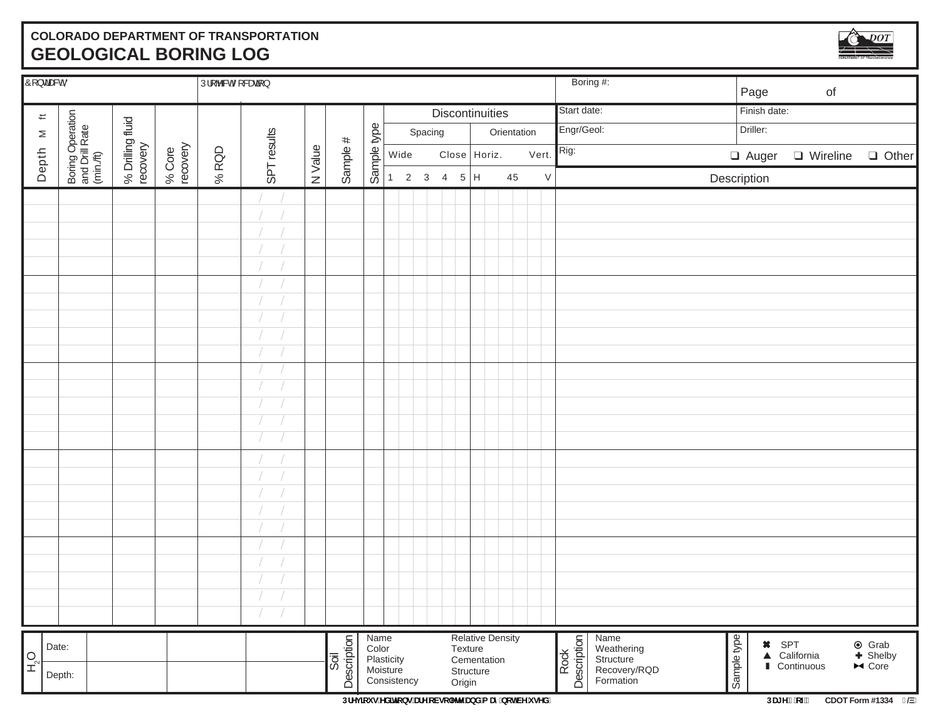# **COLORADO DEPARTMENT OF TRANSPORTATION GEOLOGICAL BORING LOG**



| $\hat{O}$ [ } $d$ as $d$ $\hat{O}$ |                                                 |                              |                    | $ \tilde{U} $ [ b & $\tilde{\delta}$ [ & $\tilde{\delta}$ ] } |             |         |                     |             |                         |         |             |         |                         |             |        |                     | Boring #:                 | Page        | $\circ f$                                  |                                                   |
|------------------------------------|-------------------------------------------------|------------------------------|--------------------|---------------------------------------------------------------|-------------|---------|---------------------|-------------|-------------------------|---------|-------------|---------|-------------------------|-------------|--------|---------------------|---------------------------|-------------|--------------------------------------------|---------------------------------------------------|
| $\leftleftarrows$                  |                                                 |                              |                    | Discontinuities                                               |             |         |                     |             |                         |         | Start date: |         | Finish date:            |             |        |                     |                           |             |                                            |                                                   |
| $\geq$                             |                                                 |                              |                    |                                                               |             |         |                     |             |                         | Spacing |             |         |                         | Orientation |        | Engr/Geol:          |                           | Driller:    |                                            |                                                   |
|                                    |                                                 |                              |                    |                                                               | SPT results |         |                     | Sample type | Wide                    |         |             |         | Close Horiz.            |             | Vert.  | Rig:                |                           |             |                                            | □ Auger □ Wireline □ Other                        |
| Depth                              | Boring Operation<br>and Drill Rate<br>(min./ft) | % Drilling fluid<br>recovery | % Core<br>recovery | % $ROD$                                                       |             | N Value | Sample #            |             |                         |         | 1 2 3 4 5 H |         |                         | 45          | $\vee$ |                     |                           | Description |                                            |                                                   |
|                                    |                                                 |                              |                    |                                                               |             |         |                     |             |                         |         |             |         |                         |             |        |                     |                           |             |                                            |                                                   |
|                                    |                                                 |                              |                    |                                                               |             |         |                     |             |                         |         |             |         |                         |             |        |                     |                           |             |                                            |                                                   |
|                                    |                                                 |                              |                    |                                                               |             |         |                     |             |                         |         |             |         |                         |             |        |                     |                           |             |                                            |                                                   |
|                                    |                                                 |                              |                    |                                                               |             |         |                     |             |                         |         |             |         |                         |             |        |                     |                           |             |                                            |                                                   |
|                                    |                                                 |                              |                    |                                                               |             |         |                     |             |                         |         |             |         |                         |             |        |                     |                           |             |                                            |                                                   |
|                                    |                                                 |                              |                    |                                                               |             |         |                     |             |                         |         |             |         |                         |             |        |                     |                           |             |                                            |                                                   |
|                                    |                                                 |                              |                    |                                                               |             |         |                     |             |                         |         |             |         |                         |             |        |                     |                           |             |                                            |                                                   |
|                                    |                                                 |                              |                    |                                                               |             |         |                     |             |                         |         |             |         |                         |             |        |                     |                           |             |                                            |                                                   |
|                                    |                                                 |                              |                    |                                                               |             |         |                     |             |                         |         |             |         |                         |             |        |                     |                           |             |                                            |                                                   |
|                                    |                                                 |                              |                    |                                                               |             |         |                     |             |                         |         |             |         |                         |             |        |                     |                           |             |                                            |                                                   |
|                                    |                                                 |                              |                    |                                                               |             |         |                     |             |                         |         |             |         |                         |             |        |                     |                           |             |                                            |                                                   |
|                                    |                                                 |                              |                    |                                                               |             |         |                     |             |                         |         |             |         |                         |             |        |                     |                           |             |                                            |                                                   |
|                                    |                                                 |                              |                    |                                                               |             |         |                     |             |                         |         |             |         |                         |             |        |                     |                           |             |                                            |                                                   |
|                                    |                                                 |                              |                    |                                                               |             |         |                     |             |                         |         |             |         |                         |             |        |                     |                           |             |                                            |                                                   |
|                                    |                                                 |                              |                    |                                                               |             |         |                     |             |                         |         |             |         |                         |             |        |                     |                           |             |                                            |                                                   |
|                                    |                                                 |                              |                    |                                                               |             |         |                     |             |                         |         |             |         |                         |             |        |                     |                           |             |                                            |                                                   |
|                                    |                                                 |                              |                    |                                                               |             |         |                     |             |                         |         |             |         |                         |             |        |                     |                           |             |                                            |                                                   |
|                                    |                                                 |                              |                    |                                                               |             |         |                     |             |                         |         |             |         |                         |             |        |                     |                           |             |                                            |                                                   |
|                                    |                                                 |                              |                    |                                                               |             |         |                     |             |                         |         |             |         |                         |             |        |                     |                           |             |                                            |                                                   |
|                                    |                                                 |                              |                    |                                                               |             |         |                     |             |                         |         |             |         |                         |             |        |                     |                           |             |                                            |                                                   |
|                                    |                                                 |                              |                    |                                                               |             |         |                     |             |                         |         |             |         |                         |             |        |                     |                           |             |                                            |                                                   |
|                                    |                                                 |                              |                    |                                                               |             |         |                     |             |                         |         |             |         |                         |             |        |                     |                           |             |                                            |                                                   |
|                                    |                                                 |                              |                    |                                                               |             |         |                     |             |                         |         |             |         |                         |             |        |                     |                           |             |                                            |                                                   |
|                                    |                                                 |                              |                    |                                                               |             |         |                     |             |                         |         |             |         |                         |             |        |                     |                           |             |                                            |                                                   |
|                                    | Date:                                           |                              |                    |                                                               |             |         |                     | Name        |                         |         |             |         | <b>Relative Density</b> |             |        |                     | Name                      |             |                                            |                                                   |
| <b>D</b><br>E                      |                                                 |                              |                    |                                                               |             |         | Description<br>Soil | Color       | Plasticity              |         |             | Texture | Cementation             |             |        | Description<br>Rock | Weathering<br>Structure   | Sample type | <b>*</b> SPT<br>▲ California<br>Continuous | <b>◎</b> Grab<br>← Shelby<br>$ightharpoonup$ Core |
|                                    | Depth:                                          |                              |                    |                                                               |             |         |                     |             | Moisture<br>Consistency |         |             | Origin  | Structure               |             |        |                     | Recovery/RQD<br>Formation |             |                                            |                                                   |